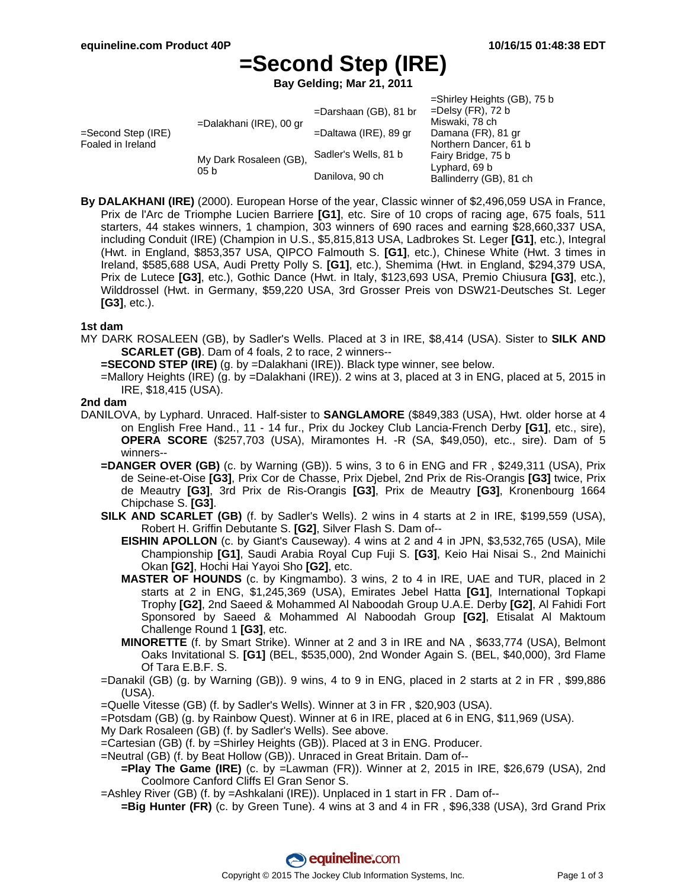# **=Second Step (IRE)**

**Bay Gelding; Mar 21, 2011**

|                                            |                                           |                          | =Shirley Heights (GB), 75 b |
|--------------------------------------------|-------------------------------------------|--------------------------|-----------------------------|
| $=$ Second Step (IRE)<br>Foaled in Ireland | =Dalakhani (IRE), 00 gr                   | $=$ Darshaan (GB), 81 br | $=$ Delsy (FR), 72 b        |
|                                            |                                           |                          | Miswaki, 78 ch              |
|                                            |                                           | =Daltawa (IRE), 89 gr    | Damana (FR), 81 gr          |
|                                            |                                           |                          | Northern Dancer, 61 b       |
|                                            | My Dark Rosaleen (GB),<br>05 <sub>b</sub> | Sadler's Wells, 81 b     | Fairy Bridge, 75 b          |
|                                            |                                           |                          | Lyphard, 69 b               |
|                                            |                                           | Danilova, 90 ch          | Ballinderry (GB), 81 ch     |

**By DALAKHANI (IRE)** (2000). European Horse of the year, Classic winner of \$2,496,059 USA in France, Prix de l'Arc de Triomphe Lucien Barriere **[G1]**, etc. Sire of 10 crops of racing age, 675 foals, 511 starters, 44 stakes winners, 1 champion, 303 winners of 690 races and earning \$28,660,337 USA, including Conduit (IRE) (Champion in U.S., \$5,815,813 USA, Ladbrokes St. Leger **[G1]**, etc.), Integral (Hwt. in England, \$853,357 USA, QIPCO Falmouth S. **[G1]**, etc.), Chinese White (Hwt. 3 times in Ireland, \$585,688 USA, Audi Pretty Polly S. **[G1]**, etc.), Shemima (Hwt. in England, \$294,379 USA, Prix de Lutece **[G3]**, etc.), Gothic Dance (Hwt. in Italy, \$123,693 USA, Premio Chiusura **[G3]**, etc.), Wilddrossel (Hwt. in Germany, \$59,220 USA, 3rd Grosser Preis von DSW21-Deutsches St. Leger **[G3]**, etc.).

### **1st dam**

- MY DARK ROSALEEN (GB), by Sadler's Wells. Placed at 3 in IRE, \$8,414 (USA). Sister to **SILK AND SCARLET (GB)**. Dam of 4 foals, 2 to race, 2 winners--
	- **=SECOND STEP (IRE)** (g. by =Dalakhani (IRE)). Black type winner, see below.
	- =Mallory Heights (IRE) (g. by =Dalakhani (IRE)). 2 wins at 3, placed at 3 in ENG, placed at 5, 2015 in IRE, \$18,415 (USA).

### **2nd dam**

- DANILOVA, by Lyphard. Unraced. Half-sister to **SANGLAMORE** (\$849,383 (USA), Hwt. older horse at 4 on English Free Hand., 11 - 14 fur., Prix du Jockey Club Lancia-French Derby **[G1]**, etc., sire), **OPERA SCORE** (\$257,703 (USA), Miramontes H. -R (SA, \$49,050), etc., sire). Dam of 5 winners--
	- **=DANGER OVER (GB)** (c. by Warning (GB)). 5 wins, 3 to 6 in ENG and FR , \$249,311 (USA), Prix de Seine-et-Oise **[G3]**, Prix Cor de Chasse, Prix Djebel, 2nd Prix de Ris-Orangis **[G3]** twice, Prix de Meautry **[G3]**, 3rd Prix de Ris-Orangis **[G3]**, Prix de Meautry **[G3]**, Kronenbourg 1664 Chipchase S. **[G3]**.
	- **SILK AND SCARLET (GB)** (f. by Sadler's Wells). 2 wins in 4 starts at 2 in IRE, \$199,559 (USA), Robert H. Griffin Debutante S. **[G2]**, Silver Flash S. Dam of--
		- **EISHIN APOLLON** (c. by Giant's Causeway). 4 wins at 2 and 4 in JPN, \$3,532,765 (USA), Mile Championship **[G1]**, Saudi Arabia Royal Cup Fuji S. **[G3]**, Keio Hai Nisai S., 2nd Mainichi Okan **[G2]**, Hochi Hai Yayoi Sho **[G2]**, etc.
		- **MASTER OF HOUNDS** (c. by Kingmambo). 3 wins, 2 to 4 in IRE, UAE and TUR, placed in 2 starts at 2 in ENG, \$1,245,369 (USA), Emirates Jebel Hatta **[G1]**, International Topkapi Trophy **[G2]**, 2nd Saeed & Mohammed Al Naboodah Group U.A.E. Derby **[G2]**, Al Fahidi Fort Sponsored by Saeed & Mohammed Al Naboodah Group **[G2]**, Etisalat Al Maktoum Challenge Round 1 **[G3]**, etc.
		- **MINORETTE** (f. by Smart Strike). Winner at 2 and 3 in IRE and NA , \$633,774 (USA), Belmont Oaks Invitational S. **[G1]** (BEL, \$535,000), 2nd Wonder Again S. (BEL, \$40,000), 3rd Flame Of Tara E.B.F. S.
	- =Danakil (GB) (g. by Warning (GB)). 9 wins, 4 to 9 in ENG, placed in 2 starts at 2 in FR , \$99,886 (USA).
	- =Quelle Vitesse (GB) (f. by Sadler's Wells). Winner at 3 in FR , \$20,903 (USA).
	- =Potsdam (GB) (g. by Rainbow Quest). Winner at 6 in IRE, placed at 6 in ENG, \$11,969 (USA).
	- My Dark Rosaleen (GB) (f. by Sadler's Wells). See above.
	- =Cartesian (GB) (f. by =Shirley Heights (GB)). Placed at 3 in ENG. Producer.
	- =Neutral (GB) (f. by Beat Hollow (GB)). Unraced in Great Britain. Dam of--
		- **=Play The Game (IRE)** (c. by =Lawman (FR)). Winner at 2, 2015 in IRE, \$26,679 (USA), 2nd Coolmore Canford Cliffs El Gran Senor S.
	- =Ashley River (GB) (f. by =Ashkalani (IRE)). Unplaced in 1 start in FR . Dam of--
	- **=Big Hunter (FR)** (c. by Green Tune). 4 wins at 3 and 4 in FR , \$96,338 (USA), 3rd Grand Prix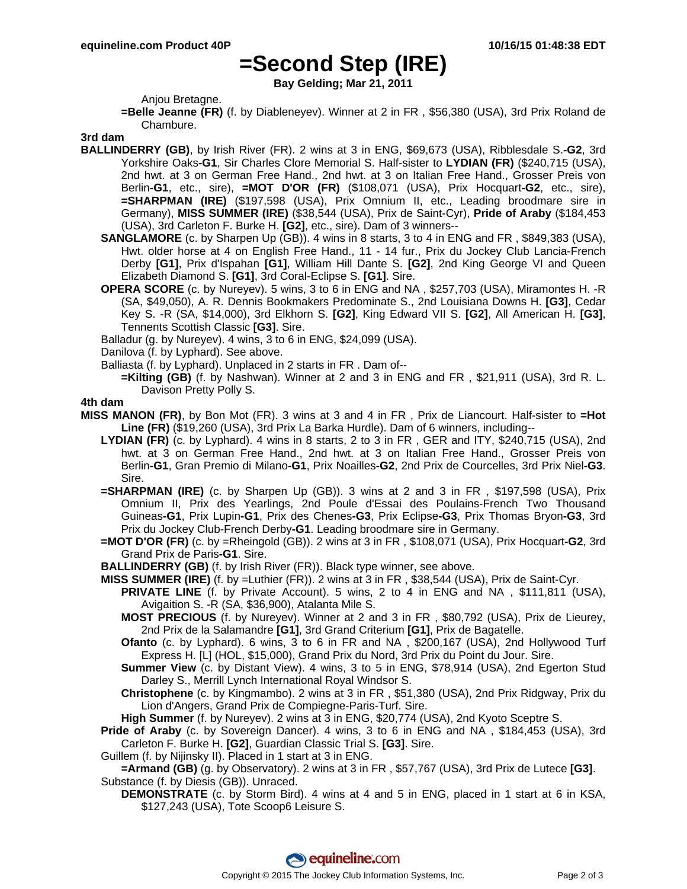## **=Second Step (IRE)**

**Bay Gelding; Mar 21, 2011**

Anjou Bretagne.

**=Belle Jeanne (FR)** (f. by Diableneyev). Winner at 2 in FR , \$56,380 (USA), 3rd Prix Roland de Chambure.

#### **3rd dam**

- **BALLINDERRY (GB)**, by Irish River (FR). 2 wins at 3 in ENG, \$69,673 (USA), Ribblesdale S.**-G2**, 3rd Yorkshire Oaks**-G1**, Sir Charles Clore Memorial S. Half-sister to **LYDIAN (FR)** (\$240,715 (USA), 2nd hwt. at 3 on German Free Hand., 2nd hwt. at 3 on Italian Free Hand., Grosser Preis von Berlin**-G1**, etc., sire), **=MOT D'OR (FR)** (\$108,071 (USA), Prix Hocquart**-G2**, etc., sire), **=SHARPMAN (IRE)** (\$197,598 (USA), Prix Omnium II, etc., Leading broodmare sire in Germany), **MISS SUMMER (IRE)** (\$38,544 (USA), Prix de Saint-Cyr), **Pride of Araby** (\$184,453 (USA), 3rd Carleton F. Burke H. **[G2]**, etc., sire). Dam of 3 winners--
	- **SANGLAMORE** (c. by Sharpen Up (GB)). 4 wins in 8 starts, 3 to 4 in ENG and FR , \$849,383 (USA), Hwt. older horse at 4 on English Free Hand., 11 - 14 fur., Prix du Jockey Club Lancia-French Derby **[G1]**, Prix d'Ispahan **[G1]**, William Hill Dante S. **[G2]**, 2nd King George VI and Queen Elizabeth Diamond S. **[G1]**, 3rd Coral-Eclipse S. **[G1]**. Sire.
	- **OPERA SCORE** (c. by Nureyev). 5 wins, 3 to 6 in ENG and NA , \$257,703 (USA), Miramontes H. -R (SA, \$49,050), A. R. Dennis Bookmakers Predominate S., 2nd Louisiana Downs H. **[G3]**, Cedar Key S. -R (SA, \$14,000), 3rd Elkhorn S. **[G2]**, King Edward VII S. **[G2]**, All American H. **[G3]**, Tennents Scottish Classic **[G3]**. Sire.

Balladur (g. by Nureyev). 4 wins, 3 to 6 in ENG, \$24,099 (USA).

Danilova (f. by Lyphard). See above.

- Balliasta (f. by Lyphard). Unplaced in 2 starts in FR . Dam of--
	- **=Kilting (GB)** (f. by Nashwan). Winner at 2 and 3 in ENG and FR , \$21,911 (USA), 3rd R. L. Davison Pretty Polly S.

#### **4th dam**

- **MISS MANON (FR)**, by Bon Mot (FR). 3 wins at 3 and 4 in FR , Prix de Liancourt. Half-sister to **=Hot Line (FR)** (\$19,260 (USA), 3rd Prix La Barka Hurdle). Dam of 6 winners, including--
	- **LYDIAN (FR)** (c. by Lyphard). 4 wins in 8 starts, 2 to 3 in FR , GER and ITY, \$240,715 (USA), 2nd hwt. at 3 on German Free Hand., 2nd hwt. at 3 on Italian Free Hand., Grosser Preis von Berlin**-G1**, Gran Premio di Milano**-G1**, Prix Noailles**-G2**, 2nd Prix de Courcelles, 3rd Prix Niel**-G3**. Sire.
	- **=SHARPMAN (IRE)** (c. by Sharpen Up (GB)). 3 wins at 2 and 3 in FR , \$197,598 (USA), Prix Omnium II, Prix des Yearlings, 2nd Poule d'Essai des Poulains-French Two Thousand Guineas**-G1**, Prix Lupin**-G1**, Prix des Chenes**-G3**, Prix Eclipse**-G3**, Prix Thomas Bryon**-G3**, 3rd Prix du Jockey Club-French Derby**-G1**. Leading broodmare sire in Germany.
	- **=MOT D'OR (FR)** (c. by =Rheingold (GB)). 2 wins at 3 in FR , \$108,071 (USA), Prix Hocquart**-G2**, 3rd Grand Prix de Paris**-G1**. Sire.
	- **BALLINDERRY (GB)** (f. by Irish River (FR)). Black type winner, see above.
	- **MISS SUMMER (IRE)** (f. by =Luthier (FR)). 2 wins at 3 in FR , \$38,544 (USA), Prix de Saint-Cyr.
		- **PRIVATE LINE** (f. by Private Account). 5 wins, 2 to 4 in ENG and NA , \$111,811 (USA), Avigaition S. -R (SA, \$36,900), Atalanta Mile S.
		- **MOST PRECIOUS** (f. by Nureyev). Winner at 2 and 3 in FR , \$80,792 (USA), Prix de Lieurey, 2nd Prix de la Salamandre **[G1]**, 3rd Grand Criterium **[G1]**, Prix de Bagatelle.
		- **Ofanto** (c. by Lyphard). 6 wins, 3 to 6 in FR and NA , \$200,167 (USA), 2nd Hollywood Turf Express H. [L] (HOL, \$15,000), Grand Prix du Nord, 3rd Prix du Point du Jour. Sire.
		- **Summer View** (c. by Distant View). 4 wins, 3 to 5 in ENG, \$78,914 (USA), 2nd Egerton Stud Darley S., Merrill Lynch International Royal Windsor S.
		- **Christophene** (c. by Kingmambo). 2 wins at 3 in FR , \$51,380 (USA), 2nd Prix Ridgway, Prix du Lion d'Angers, Grand Prix de Compiegne-Paris-Turf. Sire.

**High Summer** (f. by Nureyev). 2 wins at 3 in ENG, \$20,774 (USA), 2nd Kyoto Sceptre S.

**Pride of Araby** (c. by Sovereign Dancer). 4 wins, 3 to 6 in ENG and NA , \$184,453 (USA), 3rd Carleton F. Burke H. **[G2]**, Guardian Classic Trial S. **[G3]**. Sire.

Guillem (f. by Nijinsky II). Placed in 1 start at 3 in ENG.

**=Armand (GB)** (g. by Observatory). 2 wins at 3 in FR , \$57,767 (USA), 3rd Prix de Lutece **[G3]**. Substance (f. by Diesis (GB)). Unraced.

**DEMONSTRATE** (c. by Storm Bird). 4 wins at 4 and 5 in ENG, placed in 1 start at 6 in KSA, \$127,243 (USA), Tote Scoop6 Leisure S.